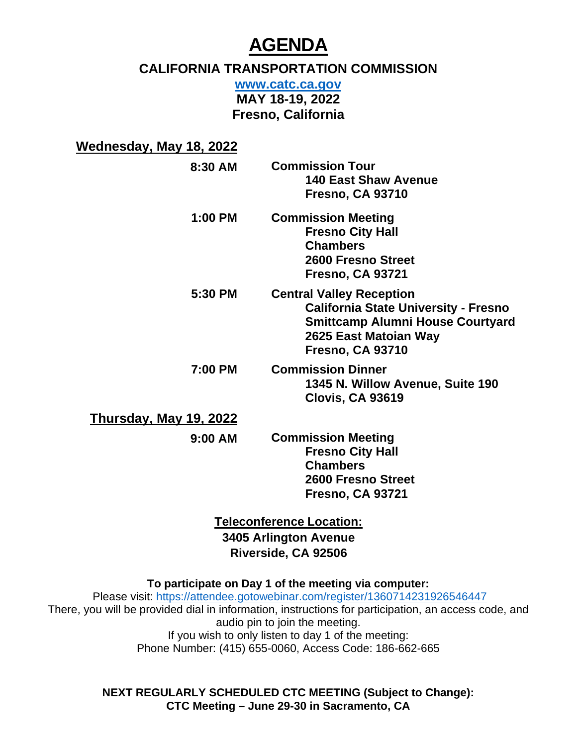# **AGENDA**

# **CALIFORNIA TRANSPORTATION COMMISSION**

**[www.catc.ca.gov](http://www.catc.ca.gov/)** 

**MAY 18-19, 2022 Fresno, California** 

| Wednesday, May 18, 2022       |                                                                                                                                                                               |
|-------------------------------|-------------------------------------------------------------------------------------------------------------------------------------------------------------------------------|
| 8:30 AM                       | <b>Commission Tour</b><br><b>140 East Shaw Avenue</b><br><b>Fresno, CA 93710</b>                                                                                              |
| $1:00$ PM                     | <b>Commission Meeting</b><br><b>Fresno City Hall</b><br><b>Chambers</b><br>2600 Fresno Street<br><b>Fresno, CA 93721</b>                                                      |
| 5:30 PM                       | <b>Central Valley Reception</b><br><b>California State University - Fresno</b><br><b>Smittcamp Alumni House Courtyard</b><br>2625 East Matoian Way<br><b>Fresno, CA 93710</b> |
| 7:00 PM                       | <b>Commission Dinner</b><br>1345 N. Willow Avenue, Suite 190<br><b>Clovis, CA 93619</b>                                                                                       |
| <u>Thursday, May 19, 2022</u> |                                                                                                                                                                               |
| 9:00 AM                       | <b>Commission Meeting</b><br><b>Fresno City Hall</b><br><b>Chambers</b><br>2600 Fresno Street<br><b>Fresno, CA 93721</b>                                                      |

**Teleconference Location: 3405 Arlington Avenue Riverside, CA 92506**

**To participate on Day 1 of the meeting via computer:**

Please visit:<https://attendee.gotowebinar.com/register/1360714231926546447> There, you will be provided dial in information, instructions for participation, an access code, and audio pin to join the meeting. If you wish to only listen to day 1 of the meeting: Phone Number: (415) 655-0060, Access Code: 186-662-665

> **NEXT REGULARLY SCHEDULED CTC MEETING (Subject to Change): CTC Meeting – June 29-30 in Sacramento, CA**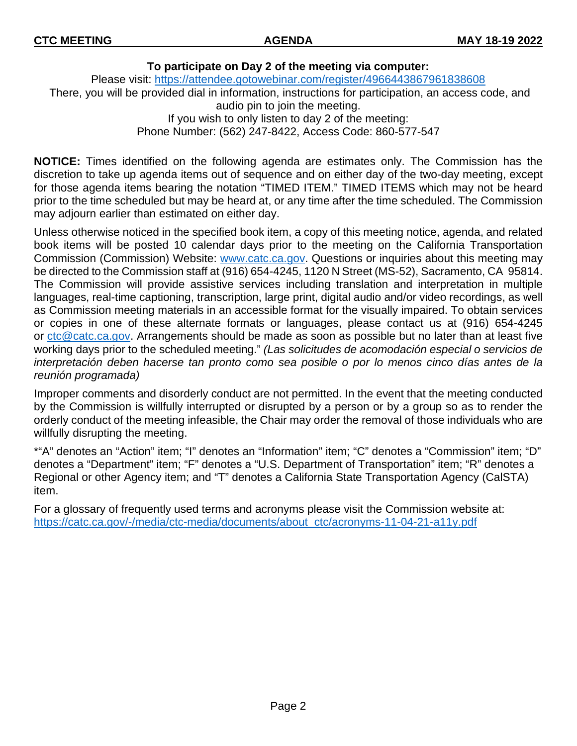#### **To participate on Day 2 of the meeting via computer:**

Please visit: <https://attendee.gotowebinar.com/register/4966443867961838608> There, you will be provided dial in information, instructions for participation, an access code, and audio pin to join the meeting. If you wish to only listen to day 2 of the meeting: Phone Number: (562) 247-8422, Access Code: 860-577-547

**NOTICE:** Times identified on the following agenda are estimates only. The Commission has the discretion to take up agenda items out of sequence and on either day of the two-day meeting, except for those agenda items bearing the notation "TIMED ITEM." TIMED ITEMS which may not be heard prior to the time scheduled but may be heard at, or any time after the time scheduled. The Commission may adjourn earlier than estimated on either day.

Unless otherwise noticed in the specified book item, a copy of this meeting notice, agenda, and related book items will be posted 10 calendar days prior to the meeting on the California Transportation Commission (Commission) Website: [www.catc.ca.gov.](http://www.catc.ca.gov/) Questions or inquiries about this meeting may be directed to the Commission staff at (916) 654-4245, 1120 N Street (MS-52), Sacramento, CA 95814. The Commission will provide assistive services including translation and interpretation in multiple languages, real-time captioning, transcription, large print, digital audio and/or video recordings, as well as Commission meeting materials in an accessible format for the visually impaired. To obtain services or copies in one of these alternate formats or languages, please contact us at (916) 654-4245 or  $ctc@catc.ca.gov$ . Arrangements should be made as soon as possible but no later than at least five working days prior to the scheduled meeting." *(Las solicitudes de acomodación especial o servicios de interpretación deben hacerse tan pronto como sea posible o por lo menos cinco días antes de la reunión programada)*

Improper comments and disorderly conduct are not permitted. In the event that the meeting conducted by the Commission is willfully interrupted or disrupted by a person or by a group so as to render the orderly conduct of the meeting infeasible, the Chair may order the removal of those individuals who are willfully disrupting the meeting.

\*"A" denotes an "Action" item; "I" denotes an "Information" item; "C" denotes a "Commission" item; "D" denotes a "Department" item; "F" denotes a "U.S. Department of Transportation" item; "R" denotes a Regional or other Agency item; and "T" denotes a California State Transportation Agency (CalSTA) item.

For a glossary of frequently used terms and acronyms please visit the Commission website at: [https://catc.ca.gov/-/media/ctc-media/documents/about\\_ctc/acronyms-11-04-21-a11y.pdf](https://catc.ca.gov/-/media/ctc-media/documents/about_ctc/acronyms-11-04-21-a11y.pdf)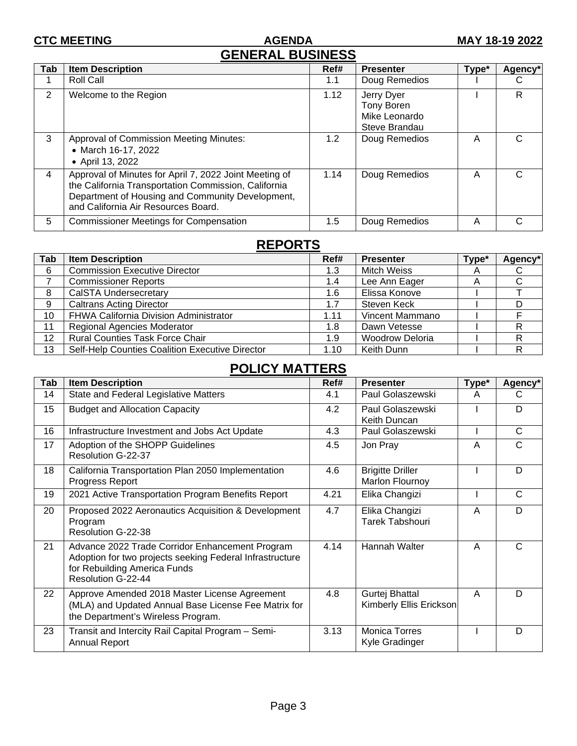#### **CTC MEETING AGENDA MAY 18-19 2022 GENERAL BUSINESS**

|                | ULIILINTL DUUIIILUU                                                                                                                                                                                       |                  |                                                            |       |                     |  |  |  |
|----------------|-----------------------------------------------------------------------------------------------------------------------------------------------------------------------------------------------------------|------------------|------------------------------------------------------------|-------|---------------------|--|--|--|
| Tab            | <b>Item Description</b>                                                                                                                                                                                   | Ref#             | <b>Presenter</b>                                           | Type* | Agency <sup>*</sup> |  |  |  |
|                | Roll Call                                                                                                                                                                                                 | 1.1              | Doug Remedios                                              |       |                     |  |  |  |
| $\overline{2}$ | Welcome to the Region                                                                                                                                                                                     | 1.12             | Jerry Dyer<br>Tony Boren<br>Mike Leonardo<br>Steve Brandau |       | R.                  |  |  |  |
| 3              | <b>Approval of Commission Meeting Minutes:</b><br>• March 16-17, 2022<br>• April 13, 2022                                                                                                                 | 1.2 <sub>1</sub> | Doug Remedios                                              | A     |                     |  |  |  |
| 4              | Approval of Minutes for April 7, 2022 Joint Meeting of<br>the California Transportation Commission, California<br>Department of Housing and Community Development,<br>and California Air Resources Board. | 1.14             | Doug Remedios                                              | A     |                     |  |  |  |
| 5              | <b>Commissioner Meetings for Compensation</b>                                                                                                                                                             | 1.5              | Doug Remedios                                              | A     |                     |  |  |  |

## **REPORTS**

| Tab | <b>Item Description</b>                         | Ref# | <b>Presenter</b>       | Type* | Agency* |
|-----|-------------------------------------------------|------|------------------------|-------|---------|
| 6   | <b>Commission Executive Director</b>            | 1.3  | <b>Mitch Weiss</b>     | A     |         |
|     | <b>Commissioner Reports</b>                     | 1.4  | Lee Ann Eager          | A     |         |
| 8   | CalSTA Undersecretary                           | 1.6  | Elissa Konove          |       |         |
| 9   | <b>Caltrans Acting Director</b>                 | 1.7  | Steven Keck            |       |         |
| 10  | FHWA California Division Administrator          | 1.11 | Vincent Mammano        |       |         |
| 11  | Regional Agencies Moderator                     | 1.8  | Dawn Vetesse           |       |         |
| 12  | <b>Rural Counties Task Force Chair</b>          | 1.9  | <b>Woodrow Deloria</b> |       |         |
| 13  | Self-Help Counties Coalition Executive Director | 1.10 | Keith Dunn             |       |         |

# **POLICY MATTERS**

| Tab | <b>Item Description</b>                                                                                                                                           | Ref# | <b>Presenter</b>                           |   | Agency* |
|-----|-------------------------------------------------------------------------------------------------------------------------------------------------------------------|------|--------------------------------------------|---|---------|
| 14  | State and Federal Legislative Matters                                                                                                                             | 4.1  | Paul Golaszewski                           | A | C       |
| 15  | <b>Budget and Allocation Capacity</b>                                                                                                                             | 4.2  | Paul Golaszewski<br>Keith Duncan           |   | D       |
| 16  | Infrastructure Investment and Jobs Act Update                                                                                                                     | 4.3  | Paul Golaszewski                           |   | C       |
| 17  | Adoption of the SHOPP Guidelines<br>Resolution G-22-37                                                                                                            | 4.5  | Jon Pray                                   | A | C       |
| 18  | California Transportation Plan 2050 Implementation<br>Progress Report                                                                                             | 4.6  | <b>Brigitte Driller</b><br>Marlon Flournoy |   | D       |
| 19  | 2021 Active Transportation Program Benefits Report                                                                                                                | 4.21 | Elika Changizi                             |   | C       |
| 20  | Proposed 2022 Aeronautics Acquisition & Development<br>Program<br>Resolution G-22-38                                                                              | 4.7  | Elika Changizi<br>Tarek Tabshouri          | A | D       |
| 21  | Advance 2022 Trade Corridor Enhancement Program<br>Adoption for two projects seeking Federal Infrastructure<br>for Rebuilding America Funds<br>Resolution G-22-44 | 4.14 | <b>Hannah Walter</b>                       | A | C       |
| 22  | Approve Amended 2018 Master License Agreement<br>(MLA) and Updated Annual Base License Fee Matrix for<br>the Department's Wireless Program.                       | 4.8  | Gurtej Bhattal<br>Kimberly Ellis Erickson  | A | D       |
| 23  | Transit and Intercity Rail Capital Program - Semi-<br><b>Annual Report</b>                                                                                        | 3.13 | <b>Monica Torres</b><br>Kyle Gradinger     |   | D       |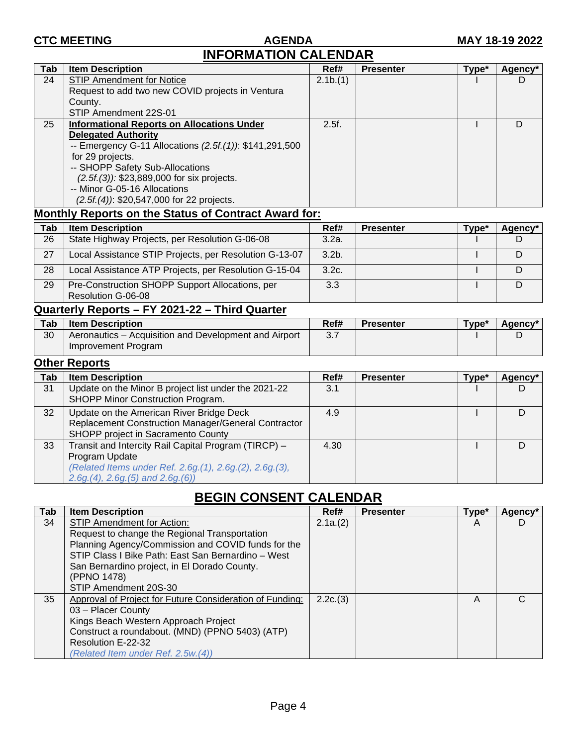#### **CTC MEETING AGENDA MAY 18-19 2022 INFORMATION CALENDAR**

| Tab | <b>Item Description</b>                                 | Ref#    | <b>Presenter</b> | Type* | Agency <sup>*</sup> |
|-----|---------------------------------------------------------|---------|------------------|-------|---------------------|
| 24  | <b>STIP Amendment for Notice</b>                        | 2.1b(1) |                  |       | D                   |
|     | Request to add two new COVID projects in Ventura        |         |                  |       |                     |
|     | County.                                                 |         |                  |       |                     |
|     | STIP Amendment 22S-01                                   |         |                  |       |                     |
| 25  | <b>Informational Reports on Allocations Under</b>       | 2.5f.   |                  |       |                     |
|     | <b>Delegated Authority</b>                              |         |                  |       |                     |
|     | -- Emergency G-11 Allocations (2.5f.(1)): \$141,291,500 |         |                  |       |                     |
|     | for 29 projects.                                        |         |                  |       |                     |
|     | -- SHOPP Safety Sub-Allocations                         |         |                  |       |                     |
|     | $(2.5f(3))$ : \$23,889,000 for six projects.            |         |                  |       |                     |
|     | -- Minor G-05-16 Allocations                            |         |                  |       |                     |
|     | $(2.5f(4))$ : \$20,547,000 for 22 projects.             |         |                  |       |                     |

#### **Monthly Reports on the Status of Contract Award for:**

| Tab | <b>Item Description</b>                                               | Ref#     | <b>Presenter</b> | Tvpe* | Agency* |
|-----|-----------------------------------------------------------------------|----------|------------------|-------|---------|
| 26  | State Highway Projects, per Resolution G-06-08                        | 3.2a.    |                  |       |         |
| 27  | Local Assistance STIP Projects, per Resolution G-13-07                | $3.2b$ . |                  |       |         |
| 28  | Local Assistance ATP Projects, per Resolution G-15-04                 | 3.2c.    |                  |       |         |
| 29  | Pre-Construction SHOPP Support Allocations, per<br>Resolution G-06-08 | 3.3      |                  |       |         |

## **Quarterly Reports – FY 2021-22 – Third Quarter**

| Tab | <b>Item Description</b>                                                      | Ref#                         | <b>Presenter</b> | Type* | Agency* |
|-----|------------------------------------------------------------------------------|------------------------------|------------------|-------|---------|
| 30  | Aeronautics – Acquisition and Development and Airport<br>Improvement Program | $\Omega$ $\overline{\Omega}$ |                  |       |         |

### **Other Reports**

| Tab | <b>Item Description</b>                                                                                                                                                  | Ref# | <b>Presenter</b> | Type* | Agency* |
|-----|--------------------------------------------------------------------------------------------------------------------------------------------------------------------------|------|------------------|-------|---------|
| 31  | Update on the Minor B project list under the 2021-22<br>SHOPP Minor Construction Program.                                                                                | 3.1  |                  |       |         |
| 32  | Update on the American River Bridge Deck<br>Replacement Construction Manager/General Contractor<br>SHOPP project in Sacramento County                                    | 4.9  |                  |       | D       |
| 33  | Transit and Intercity Rail Capital Program (TIRCP) -<br>Program Update<br>(Related Items under Ref. 2.6g. (1), 2.6g. (2), 2.6g. (3),<br>$2.6g(4), 2.6g(5)$ and $2.6g(6)$ | 4.30 |                  |       |         |

# **BEGIN CONSENT CALENDAR**

| <b>Tab</b> | <b>Item Description</b>                                  | Ref#    | <b>Presenter</b> | Type* | Agency* |
|------------|----------------------------------------------------------|---------|------------------|-------|---------|
| 34         | STIP Amendment for Action:                               | 2.1a(2) |                  | A     | D       |
|            | Request to change the Regional Transportation            |         |                  |       |         |
|            | Planning Agency/Commission and COVID funds for the       |         |                  |       |         |
|            | STIP Class I Bike Path: East San Bernardino - West       |         |                  |       |         |
|            | San Bernardino project, in El Dorado County.             |         |                  |       |         |
|            | (PPNO 1478)                                              |         |                  |       |         |
|            | STIP Amendment 20S-30                                    |         |                  |       |         |
| 35         | Approval of Project for Future Consideration of Funding: | 2.2c(3) |                  | A     | C       |
|            | 03 - Placer County                                       |         |                  |       |         |
|            | Kings Beach Western Approach Project                     |         |                  |       |         |
|            | Construct a roundabout. (MND) (PPNO 5403) (ATP)          |         |                  |       |         |
|            | Resolution E-22-32                                       |         |                  |       |         |
|            | (Related Item under Ref. 2.5w.(4))                       |         |                  |       |         |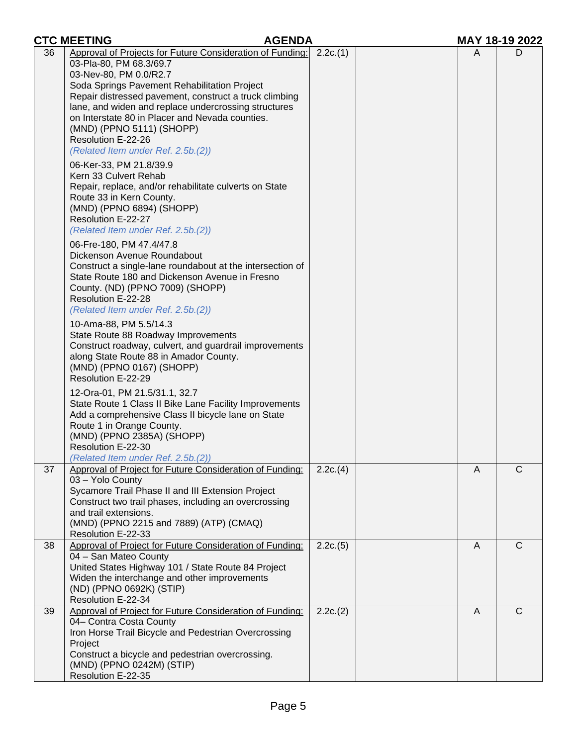|    | <b>CTC MEETING</b><br><b>AGENDA</b>                                                                                                                                                                                                                                                                                                                                                                                                                                                                                                                                                                                                                                                                                                                                                                                                                                                                                                                                                                                                                                                                                                                                                                                                                                                                                                                                                                                                       |          |   | MAY 18-19 2022 |
|----|-------------------------------------------------------------------------------------------------------------------------------------------------------------------------------------------------------------------------------------------------------------------------------------------------------------------------------------------------------------------------------------------------------------------------------------------------------------------------------------------------------------------------------------------------------------------------------------------------------------------------------------------------------------------------------------------------------------------------------------------------------------------------------------------------------------------------------------------------------------------------------------------------------------------------------------------------------------------------------------------------------------------------------------------------------------------------------------------------------------------------------------------------------------------------------------------------------------------------------------------------------------------------------------------------------------------------------------------------------------------------------------------------------------------------------------------|----------|---|----------------|
| 36 | Approval of Projects for Future Consideration of Funding:<br>03-Pla-80, PM 68.3/69.7<br>03-Nev-80, PM 0.0/R2.7<br>Soda Springs Pavement Rehabilitation Project<br>Repair distressed pavement, construct a truck climbing<br>lane, and widen and replace undercrossing structures<br>on Interstate 80 in Placer and Nevada counties.<br>(MND) (PPNO 5111) (SHOPP)<br>Resolution E-22-26<br>(Related Item under Ref. 2.5b.(2))<br>06-Ker-33, PM 21.8/39.9<br>Kern 33 Culvert Rehab<br>Repair, replace, and/or rehabilitate culverts on State<br>Route 33 in Kern County.<br>(MND) (PPNO 6894) (SHOPP)<br>Resolution E-22-27<br>(Related Item under Ref. 2.5b.(2))<br>06-Fre-180, PM 47.4/47.8<br>Dickenson Avenue Roundabout<br>Construct a single-lane roundabout at the intersection of<br>State Route 180 and Dickenson Avenue in Fresno<br>County. (ND) (PPNO 7009) (SHOPP)<br>Resolution E-22-28<br>(Related Item under Ref. 2.5b.(2))<br>10-Ama-88, PM 5.5/14.3<br>State Route 88 Roadway Improvements<br>Construct roadway, culvert, and guardrail improvements<br>along State Route 88 in Amador County.<br>(MND) (PPNO 0167) (SHOPP)<br>Resolution E-22-29<br>12-Ora-01, PM 21.5/31.1, 32.7<br>State Route 1 Class II Bike Lane Facility Improvements<br>Add a comprehensive Class II bicycle lane on State<br>Route 1 in Orange County.<br>(MND) (PPNO 2385A) (SHOPP)<br>Resolution E-22-30<br>(Related Item under Ref. 2.5b.(2)) | 2.2c(1)  | A | D              |
| 37 | Approval of Project for Future Consideration of Funding:<br>03 - Yolo County<br>Sycamore Trail Phase II and III Extension Project<br>Construct two trail phases, including an overcrossing<br>and trail extensions.<br>(MND) (PPNO 2215 and 7889) (ATP) (CMAQ)<br>Resolution E-22-33                                                                                                                                                                                                                                                                                                                                                                                                                                                                                                                                                                                                                                                                                                                                                                                                                                                                                                                                                                                                                                                                                                                                                      | 2.2c.(4) | A | $\mathsf{C}$   |
| 38 | Approval of Project for Future Consideration of Funding:<br>04 - San Mateo County<br>United States Highway 101 / State Route 84 Project<br>Widen the interchange and other improvements<br>(ND) (PPNO 0692K) (STIP)<br>Resolution E-22-34                                                                                                                                                                                                                                                                                                                                                                                                                                                                                                                                                                                                                                                                                                                                                                                                                                                                                                                                                                                                                                                                                                                                                                                                 | 2.2c(5)  | A | C              |
| 39 | Approval of Project for Future Consideration of Funding:<br>04- Contra Costa County<br>Iron Horse Trail Bicycle and Pedestrian Overcrossing<br>Project<br>Construct a bicycle and pedestrian overcrossing.<br>(MND) (PPNO 0242M) (STIP)<br>Resolution E-22-35                                                                                                                                                                                                                                                                                                                                                                                                                                                                                                                                                                                                                                                                                                                                                                                                                                                                                                                                                                                                                                                                                                                                                                             | 2.2c(2)  | A | $\mathsf{C}$   |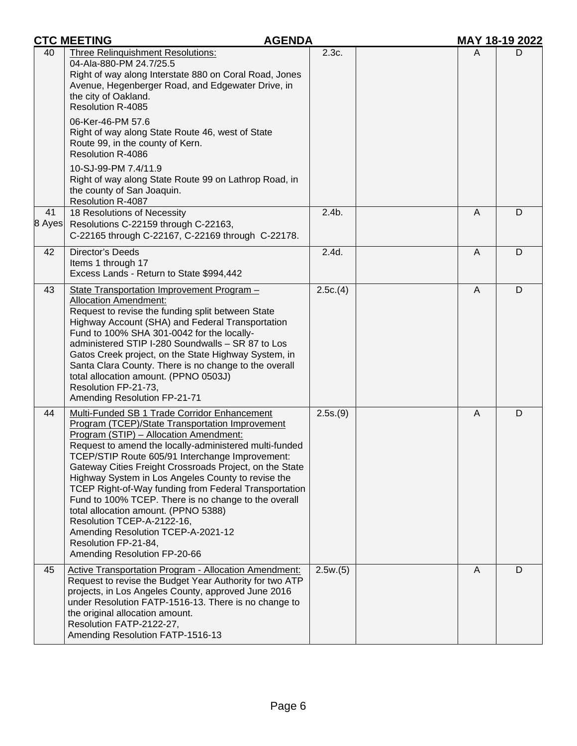|              | <b>CTC MEETING</b><br><b>AGENDA</b>                                                                                                                                                                                                                                                                                                                                                                                                                                                                                                                                                                                                                                 |          | MAY 18-19 2022 |   |
|--------------|---------------------------------------------------------------------------------------------------------------------------------------------------------------------------------------------------------------------------------------------------------------------------------------------------------------------------------------------------------------------------------------------------------------------------------------------------------------------------------------------------------------------------------------------------------------------------------------------------------------------------------------------------------------------|----------|----------------|---|
| 40           | Three Relinquishment Resolutions:<br>04-Ala-880-PM 24.7/25.5<br>Right of way along Interstate 880 on Coral Road, Jones<br>Avenue, Hegenberger Road, and Edgewater Drive, in<br>the city of Oakland.<br><b>Resolution R-4085</b><br>06-Ker-46-PM 57.6<br>Right of way along State Route 46, west of State<br>Route 99, in the county of Kern.<br><b>Resolution R-4086</b><br>10-SJ-99-PM 7.4/11.9                                                                                                                                                                                                                                                                    | 2.3c.    | A              | D |
|              | Right of way along State Route 99 on Lathrop Road, in<br>the county of San Joaquin.<br><b>Resolution R-4087</b>                                                                                                                                                                                                                                                                                                                                                                                                                                                                                                                                                     |          |                |   |
| 41<br>8 Ayes | 18 Resolutions of Necessity<br>Resolutions C-22159 through C-22163,<br>C-22165 through C-22167, C-22169 through C-22178.                                                                                                                                                                                                                                                                                                                                                                                                                                                                                                                                            | $2.4b$ . | A              | D |
| 42           | <b>Director's Deeds</b><br>Items 1 through 17<br>Excess Lands - Return to State \$994,442                                                                                                                                                                                                                                                                                                                                                                                                                                                                                                                                                                           | 2.4d.    | A              | D |
| 43           | State Transportation Improvement Program -<br><b>Allocation Amendment:</b><br>Request to revise the funding split between State<br>Highway Account (SHA) and Federal Transportation<br>Fund to 100% SHA 301-0042 for the locally-<br>administered STIP I-280 Soundwalls - SR 87 to Los<br>Gatos Creek project, on the State Highway System, in<br>Santa Clara County. There is no change to the overall<br>total allocation amount. (PPNO 0503J)<br>Resolution FP-21-73,<br>Amending Resolution FP-21-71                                                                                                                                                            | 2.5c(4)  | A              | D |
| 44           | Multi-Funded SB 1 Trade Corridor Enhancement<br>Program (TCEP)/State Transportation Improvement<br>Program (STIP) - Allocation Amendment:<br>Request to amend the locally-administered multi-funded<br>TCEP/STIP Route 605/91 Interchange Improvement:<br>Gateway Cities Freight Crossroads Project, on the State<br>Highway System in Los Angeles County to revise the<br><b>TCEP Right-of-Way funding from Federal Transportation</b><br>Fund to 100% TCEP. There is no change to the overall<br>total allocation amount. (PPNO 5388)<br>Resolution TCEP-A-2122-16,<br>Amending Resolution TCEP-A-2021-12<br>Resolution FP-21-84,<br>Amending Resolution FP-20-66 | 2.5s.(9) | $\overline{A}$ | D |
| 45           | Active Transportation Program - Allocation Amendment:<br>Request to revise the Budget Year Authority for two ATP<br>projects, in Los Angeles County, approved June 2016<br>under Resolution FATP-1516-13. There is no change to<br>the original allocation amount.<br>Resolution FATP-2122-27,<br>Amending Resolution FATP-1516-13                                                                                                                                                                                                                                                                                                                                  | 2.5w(5)  | A              | D |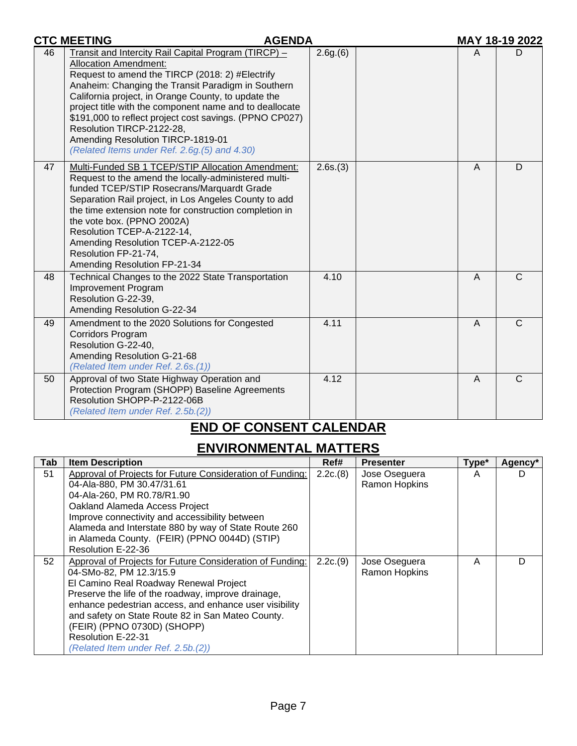|    | <b>CTC MEETING</b><br><b>AGENDA</b>                                                                                                                                                                                                                                                                                                                                                                                                                                                          |         |                | MAY 18-19 2022 |
|----|----------------------------------------------------------------------------------------------------------------------------------------------------------------------------------------------------------------------------------------------------------------------------------------------------------------------------------------------------------------------------------------------------------------------------------------------------------------------------------------------|---------|----------------|----------------|
| 46 | Transit and Intercity Rail Capital Program (TIRCP) -<br><b>Allocation Amendment:</b><br>Request to amend the TIRCP (2018: 2) #Electrify<br>Anaheim: Changing the Transit Paradigm in Southern<br>California project, in Orange County, to update the<br>project title with the component name and to deallocate<br>\$191,000 to reflect project cost savings. (PPNO CP027)<br>Resolution TIRCP-2122-28,<br>Amending Resolution TIRCP-1819-01<br>(Related Items under Ref. 2.6g.(5) and 4.30) | 2.6g(6) | A              | D              |
| 47 | Multi-Funded SB 1 TCEP/STIP Allocation Amendment:<br>Request to the amend the locally-administered multi-<br>funded TCEP/STIP Rosecrans/Marquardt Grade<br>Separation Rail project, in Los Angeles County to add<br>the time extension note for construction completion in<br>the vote box. (PPNO 2002A)<br>Resolution TCEP-A-2122-14,<br>Amending Resolution TCEP-A-2122-05<br>Resolution FP-21-74,<br>Amending Resolution FP-21-34                                                         | 2.6s(3) | $\overline{A}$ | D              |
| 48 | Technical Changes to the 2022 State Transportation<br><b>Improvement Program</b><br>Resolution G-22-39,<br>Amending Resolution G-22-34                                                                                                                                                                                                                                                                                                                                                       | 4.10    | $\overline{A}$ | $\mathcal{C}$  |
| 49 | Amendment to the 2020 Solutions for Congested<br><b>Corridors Program</b><br>Resolution G-22-40,<br>Amending Resolution G-21-68<br>(Related Item under Ref. 2.6s.(1))                                                                                                                                                                                                                                                                                                                        | 4.11    | $\overline{A}$ | $\overline{C}$ |
| 50 | Approval of two State Highway Operation and<br>Protection Program (SHOPP) Baseline Agreements<br>Resolution SHOPP-P-2122-06B<br>(Related Item under Ref. 2.5b.(2))                                                                                                                                                                                                                                                                                                                           | 4.12    | A              | $\mathsf{C}$   |

# **END OF CONSENT CALENDAR**

# **ENVIRONMENTAL MATTERS**

| Tab | <b>Item Description</b>                                   | Ref#     | <b>Presenter</b> | Type* | Agency* |
|-----|-----------------------------------------------------------|----------|------------------|-------|---------|
| 51  | Approval of Projects for Future Consideration of Funding: | 2.2c(8)  | Jose Oseguera    | A     |         |
|     | 04-Ala-880, PM 30.47/31.61                                |          | Ramon Hopkins    |       |         |
|     | 04-Ala-260, PM R0.78/R1.90                                |          |                  |       |         |
|     | Oakland Alameda Access Project                            |          |                  |       |         |
|     | Improve connectivity and accessibility between            |          |                  |       |         |
|     | Alameda and Interstate 880 by way of State Route 260      |          |                  |       |         |
|     | in Alameda County. (FEIR) (PPNO 0044D) (STIP)             |          |                  |       |         |
|     | Resolution E-22-36                                        |          |                  |       |         |
| 52  | Approval of Projects for Future Consideration of Funding: | 2.2c.(9) | Jose Oseguera    | A     | D       |
|     | 04-SMo-82, PM 12.3/15.9                                   |          | Ramon Hopkins    |       |         |
|     | El Camino Real Roadway Renewal Project                    |          |                  |       |         |
|     | Preserve the life of the roadway, improve drainage,       |          |                  |       |         |
|     | enhance pedestrian access, and enhance user visibility    |          |                  |       |         |
|     | and safety on State Route 82 in San Mateo County.         |          |                  |       |         |
|     | (FEIR) (PPNO 0730D) (SHOPP)                               |          |                  |       |         |
|     | Resolution E-22-31                                        |          |                  |       |         |
|     | (Related Item under Ref. 2.5b.(2))                        |          |                  |       |         |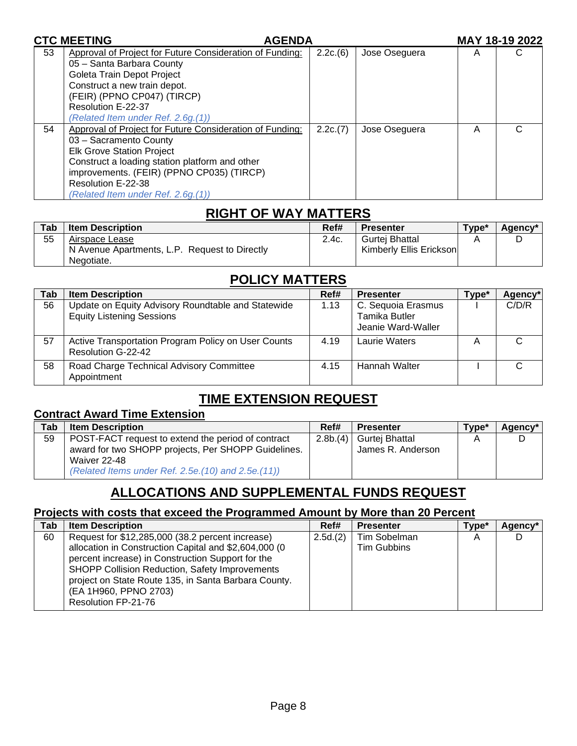|    | <b>CTC MEETING</b><br><b>AGENDA</b>                      |         |               |   | MAY 18-19 2022 |
|----|----------------------------------------------------------|---------|---------------|---|----------------|
| 53 | Approval of Project for Future Consideration of Funding: | 2.2c(6) | Jose Oseguera | Α |                |
|    | 05 - Santa Barbara County                                |         |               |   |                |
|    | Goleta Train Depot Project                               |         |               |   |                |
|    | Construct a new train depot.                             |         |               |   |                |
|    | (FEIR) (PPNO CP047) (TIRCP)                              |         |               |   |                |
|    | Resolution E-22-37                                       |         |               |   |                |
|    | (Related Item under Ref. 2.6g.(1))                       |         |               |   |                |
| 54 | Approval of Project for Future Consideration of Funding: | 2.2c(7) | Jose Oseguera | A |                |
|    | 03 - Sacramento County                                   |         |               |   |                |
|    | <b>Elk Grove Station Project</b>                         |         |               |   |                |
|    | Construct a loading station platform and other           |         |               |   |                |
|    | improvements. (FEIR) (PPNO CP035) (TIRCP)                |         |               |   |                |
|    | Resolution E-22-38                                       |         |               |   |                |
|    | (Related Item under Ref. 2.6g.(1))                       |         |               |   |                |

# **RIGHT OF WAY MATTERS**

| Tab | <b>Item Description</b>                       | Ref#  | <b>Presenter</b>         | Type* | Agency* |
|-----|-----------------------------------------------|-------|--------------------------|-------|---------|
| 55  | Airspace Lease                                | 2.4c. | Gurtei Bhattal           |       |         |
|     | N Avenue Apartments, L.P. Request to Directly |       | Kimberly Ellis Ericksonl |       |         |
|     | Negotiate.                                    |       |                          |       |         |

# **POLICY MATTERS**

| Tab | <b>Item Description</b>                                                                | Ref# | <b>Presenter</b>                                          | Type* | <b>Agency</b> |
|-----|----------------------------------------------------------------------------------------|------|-----------------------------------------------------------|-------|---------------|
| 56  | Update on Equity Advisory Roundtable and Statewide<br><b>Equity Listening Sessions</b> | 1.13 | C. Sequoia Erasmus<br>Tamika Butler<br>Jeanie Ward-Waller |       | C/D/R         |
| 57  | Active Transportation Program Policy on User Counts<br>Resolution G-22-42              | 4.19 | Laurie Waters                                             |       |               |
| 58  | Road Charge Technical Advisory Committee<br>Appointment                                | 4.15 | Hannah Walter                                             |       |               |

# **TIME EXTENSION REQUEST**

### **Contract Award Time Extension**

| Tab | <b>Item Description</b>                                                                                                                                                           | Ref#    | <b>Presenter</b>                    | Type* | Agency* |
|-----|-----------------------------------------------------------------------------------------------------------------------------------------------------------------------------------|---------|-------------------------------------|-------|---------|
| 59  | POST-FACT request to extend the period of contract<br>award for two SHOPP projects, Per SHOPP Guidelines.<br>Waiver 22-48<br>(Related Items under Ref. 2.5e. (10) and 2.5e. (11)) | 2.8b(4) | Gurtej Bhattal<br>James R. Anderson |       |         |

# **ALLOCATIONS AND SUPPLEMENTAL FUNDS REQUEST**

### **Projects with costs that exceed the Programmed Amount by More than 20 Percent**

| Tab | <b>Item Description</b>                                                                                                                                                                                                                                                                                                         | Ref#    | <b>Presenter</b>                   | Type* | Agency* |
|-----|---------------------------------------------------------------------------------------------------------------------------------------------------------------------------------------------------------------------------------------------------------------------------------------------------------------------------------|---------|------------------------------------|-------|---------|
| 60  | Request for \$12,285,000 (38.2 percent increase)<br>allocation in Construction Capital and \$2,604,000 (0<br>percent increase) in Construction Support for the<br><b>SHOPP Collision Reduction, Safety Improvements</b><br>project on State Route 135, in Santa Barbara County.<br>(EA 1H960, PPNO 2703)<br>Resolution FP-21-76 | 2.5d(2) | Tim Sobelman<br><b>Tim Gubbins</b> | A     |         |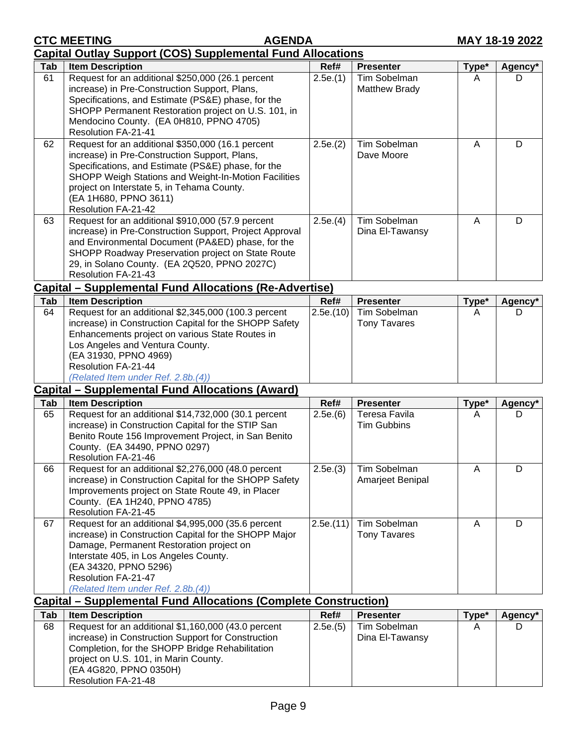Resolution FA-21-48

|     | <b>Capital Outlay Support (COS) Supplemental Fund Allocations</b>                                                                                                                                                                                                                                              |                     |                                               |       |                     |
|-----|----------------------------------------------------------------------------------------------------------------------------------------------------------------------------------------------------------------------------------------------------------------------------------------------------------------|---------------------|-----------------------------------------------|-------|---------------------|
| Tab | <b>Item Description</b>                                                                                                                                                                                                                                                                                        | Ref#                | <b>Presenter</b>                              | Type* | Agency*             |
| 61  | Request for an additional \$250,000 (26.1 percent<br>increase) in Pre-Construction Support, Plans,<br>Specifications, and Estimate (PS&E) phase, for the<br>SHOPP Permanent Restoration project on U.S. 101, in<br>Mendocino County. (EA 0H810, PPNO 4705)<br><b>Resolution FA-21-41</b>                       | 2.5e.(1)<br>2.5e(2) | Tim Sobelman<br>Matthew Brady<br>Tim Sobelman | A     | D.                  |
| 62  | Request for an additional \$350,000 (16.1 percent<br>increase) in Pre-Construction Support, Plans,<br>Specifications, and Estimate (PS&E) phase, for the<br>SHOPP Weigh Stations and Weight-In-Motion Facilities<br>project on Interstate 5, in Tehama County.<br>(EA 1H680, PPNO 3611)<br>Resolution FA-21-42 | A                   | D                                             |       |                     |
| 63  | Request for an additional \$910,000 (57.9 percent<br>increase) in Pre-Construction Support, Project Approval<br>and Environmental Document (PA&ED) phase, for the<br>SHOPP Roadway Preservation project on State Route<br>29, in Solano County. (EA 2Q520, PPNO 2027C)<br>Resolution FA-21-43                  | 2.5e(4)             | Tim Sobelman<br>Dina El-Tawansy               | A     | D                   |
|     | Capital – Supplemental Fund Allocations (Re-Advertise)                                                                                                                                                                                                                                                         |                     |                                               |       |                     |
| Tab | <b>Item Description</b>                                                                                                                                                                                                                                                                                        | Ref#                | <b>Presenter</b>                              | Type* | Agency*             |
| 64  | Request for an additional \$2,345,000 (100.3 percent<br>increase) in Construction Capital for the SHOPP Safety<br>Enhancements project on various State Routes in<br>Los Angeles and Ventura County.<br>(EA 31930, PPNO 4969)<br>Resolution FA-21-44<br>(Related Item under Ref. 2.8b.(4))                     | 2.5e.(10)           | Tim Sobelman<br><b>Tony Tavares</b>           | A     | D                   |
|     | <b>Capital - Supplemental Fund Allocations (Award)</b>                                                                                                                                                                                                                                                         |                     |                                               |       |                     |
| Tab | <b>Item Description</b>                                                                                                                                                                                                                                                                                        | Ref#                | <b>Presenter</b>                              | Type* | Agency*             |
| 65  | Request for an additional \$14,732,000 (30.1 percent<br>increase) in Construction Capital for the STIP San<br>Benito Route 156 Improvement Project, in San Benito<br>County. (EA 34490, PPNO 0297)<br>Resolution FA-21-46                                                                                      | 2.5e(6)             | Teresa Favila<br><b>Tim Gubbins</b>           | A     | D                   |
| 66  | Request for an additional \$2,276,000 (48.0 percent<br>increase) in Construction Capital for the SHOPP Safety<br>Improvements project on State Route 49, in Placer<br>County. (EA 1H240, PPNO 4785)<br>Resolution FA-21-45                                                                                     | 2.5e(3)             | Tim Sobelman<br>Amarjeet Benipal              | Α     | D                   |
| 67  | Request for an additional \$4,995,000 (35.6 percent<br>increase) in Construction Capital for the SHOPP Major<br>Damage, Permanent Restoration project on<br>Interstate 405, in Los Angeles County.<br>(EA 34320, PPNO 5296)<br>Resolution FA-21-47<br>(Related Item under Ref. 2.8b.(4))                       | 2.5e(11)            | Tim Sobelman<br><b>Tony Tavares</b>           | A     | D                   |
|     | <b>Capital – Supplemental Fund Allocations (Complete Construction)</b>                                                                                                                                                                                                                                         |                     |                                               |       |                     |
| Tab | <b>Item Description</b>                                                                                                                                                                                                                                                                                        | Ref#                | <b>Presenter</b>                              | Type* | Agency <sup>*</sup> |
| 68  | Request for an additional \$1,160,000 (43.0 percent<br>increase) in Construction Support for Construction<br>Completion, for the SHOPP Bridge Rehabilitation<br>project on U.S. 101, in Marin County.<br>(EA 4G820, PPNO 0350H)                                                                                | 2.5e(5)             | Tim Sobelman<br>Dina El-Tawansy               | A     | D                   |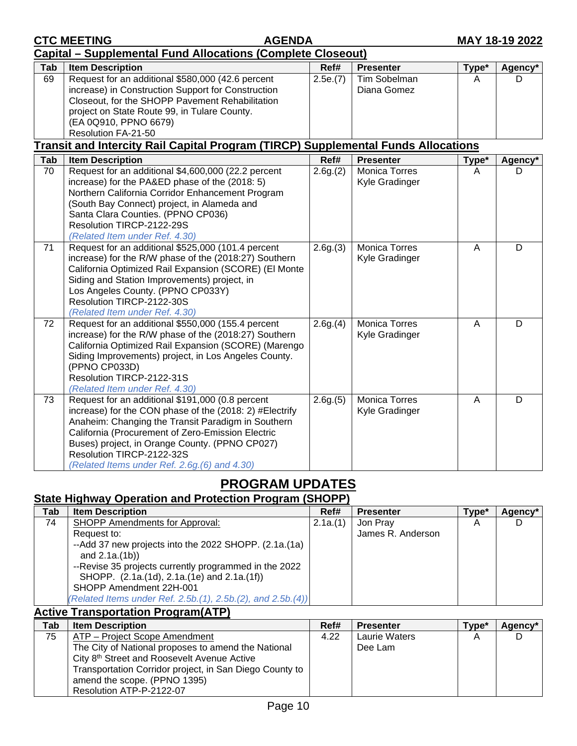|                 | <b>Capital – Supplemental Fund Allocations (Complete Closeout)</b>                                            |          |                      |                |         |  |  |
|-----------------|---------------------------------------------------------------------------------------------------------------|----------|----------------------|----------------|---------|--|--|
| Tab             | <b>Item Description</b>                                                                                       | Ref#     | <b>Presenter</b>     | Type*          | Agency* |  |  |
| 69              | Request for an additional \$580,000 (42.6 percent                                                             | 2.5e.(7) | Tim Sobelman         | A              | D       |  |  |
|                 | increase) in Construction Support for Construction                                                            |          | Diana Gomez          |                |         |  |  |
|                 | Closeout, for the SHOPP Pavement Rehabilitation                                                               |          |                      |                |         |  |  |
|                 | project on State Route 99, in Tulare County.                                                                  |          |                      |                |         |  |  |
|                 | (EA 0Q910, PPNO 6679)                                                                                         |          |                      |                |         |  |  |
|                 | Resolution FA-21-50                                                                                           |          |                      |                |         |  |  |
|                 | <b>Transit and Intercity Rail Capital Program (TIRCP) Supplemental Funds Allocations</b>                      |          |                      |                |         |  |  |
| Tab             | <b>Item Description</b>                                                                                       | Ref#     | <b>Presenter</b>     | Type*          | Agency* |  |  |
| $\overline{70}$ | Request for an additional \$4,600,000 (22.2 percent                                                           | 2.6g(2)  | Monica Torres        | A              | D       |  |  |
|                 | increase) for the PA&ED phase of the (2018: 5)                                                                |          | Kyle Gradinger       |                |         |  |  |
|                 | Northern California Corridor Enhancement Program                                                              |          |                      |                |         |  |  |
|                 | (South Bay Connect) project, in Alameda and                                                                   |          |                      |                |         |  |  |
|                 | Santa Clara Counties. (PPNO CP036)                                                                            |          |                      |                |         |  |  |
|                 | Resolution TIRCP-2122-29S                                                                                     |          |                      |                |         |  |  |
|                 | (Related Item under Ref. 4.30)                                                                                |          |                      |                |         |  |  |
| 71              | Request for an additional \$525,000 (101.4 percent                                                            | 2.6g(3)  | <b>Monica Torres</b> | $\overline{A}$ | D       |  |  |
|                 | increase) for the R/W phase of the (2018:27) Southern                                                         |          | Kyle Gradinger       |                |         |  |  |
|                 | California Optimized Rail Expansion (SCORE) (El Monte                                                         |          |                      |                |         |  |  |
|                 | Siding and Station Improvements) project, in                                                                  |          |                      |                |         |  |  |
|                 | Los Angeles County. (PPNO CP033Y)                                                                             |          |                      |                |         |  |  |
|                 | Resolution TIRCP-2122-30S                                                                                     |          |                      |                |         |  |  |
|                 | (Related Item under Ref. 4.30)                                                                                |          |                      |                |         |  |  |
| 72              | Request for an additional \$550,000 (155.4 percent                                                            | 2.6g(4)  | Monica Torres        | $\overline{A}$ | D       |  |  |
|                 | increase) for the R/W phase of the (2018:27) Southern<br>California Optimized Rail Expansion (SCORE) (Marengo |          | Kyle Gradinger       |                |         |  |  |
|                 | Siding Improvements) project, in Los Angeles County.                                                          |          |                      |                |         |  |  |
|                 | (PPNO CP033D)                                                                                                 |          |                      |                |         |  |  |
|                 | Resolution TIRCP-2122-31S                                                                                     |          |                      |                |         |  |  |
|                 | (Related Item under Ref. 4.30)                                                                                |          |                      |                |         |  |  |
| 73              | Request for an additional \$191,000 (0.8 percent                                                              | 2.6g(5)  | <b>Monica Torres</b> | A              | D       |  |  |
|                 | increase) for the CON phase of the (2018: 2) #Electrify                                                       |          | Kyle Gradinger       |                |         |  |  |
|                 | Anaheim: Changing the Transit Paradigm in Southern                                                            |          |                      |                |         |  |  |
|                 | California (Procurement of Zero-Emission Electric                                                             |          |                      |                |         |  |  |
|                 | Buses) project, in Orange County. (PPNO CP027)                                                                |          |                      |                |         |  |  |
|                 | Resolution TIRCP-2122-32S                                                                                     |          |                      |                |         |  |  |
|                 | (Related Items under Ref. 2.6g.(6) and 4.30)                                                                  |          |                      |                |         |  |  |
|                 |                                                                                                               |          |                      |                |         |  |  |

**CTC MEETING AGENDA MAY 18-19 2022** 

# **PROGRAM UPDATES**

# **State Highway Operation and Protection Program (SHOPP)**

| Tab | <b>Item Description</b>                                     | Ref#    | <b>Presenter</b>  | Type* | Agency* |
|-----|-------------------------------------------------------------|---------|-------------------|-------|---------|
| 74  | <b>SHOPP Amendments for Approval:</b>                       | 2.1a(1) | Jon Pray          | A     |         |
|     | Request to:                                                 |         | James R. Anderson |       |         |
|     | --Add 37 new projects into the 2022 SHOPP. (2.1a. (1a)      |         |                   |       |         |
|     | and $2.1a.(1b)$                                             |         |                   |       |         |
|     | --Revise 35 projects currently programmed in the 2022       |         |                   |       |         |
|     | SHOPP. (2.1a.(1d), 2.1a.(1e) and 2.1a.(1f))                 |         |                   |       |         |
|     | SHOPP Amendment 22H-001                                     |         |                   |       |         |
|     | (Related Items under Ref. 2.5b.(1), 2.5b.(2), and 2.5b.(4)) |         |                   |       |         |

# **Active Transportation Program(ATP)**

| Tab | <b>Item Description</b>                                 | Ref# | <b>Presenter</b>     | Type* | Agency* |
|-----|---------------------------------------------------------|------|----------------------|-------|---------|
| 75  | ATP – Project Scope Amendment                           | 4.22 | <b>Laurie Waters</b> |       |         |
|     | The City of National proposes to amend the National     |      | Dee Lam              |       |         |
|     | City 8 <sup>th</sup> Street and Roosevelt Avenue Active |      |                      |       |         |
|     | Transportation Corridor project, in San Diego County to |      |                      |       |         |
|     | amend the scope. (PPNO 1395)                            |      |                      |       |         |
|     | Resolution ATP-P-2122-07                                |      |                      |       |         |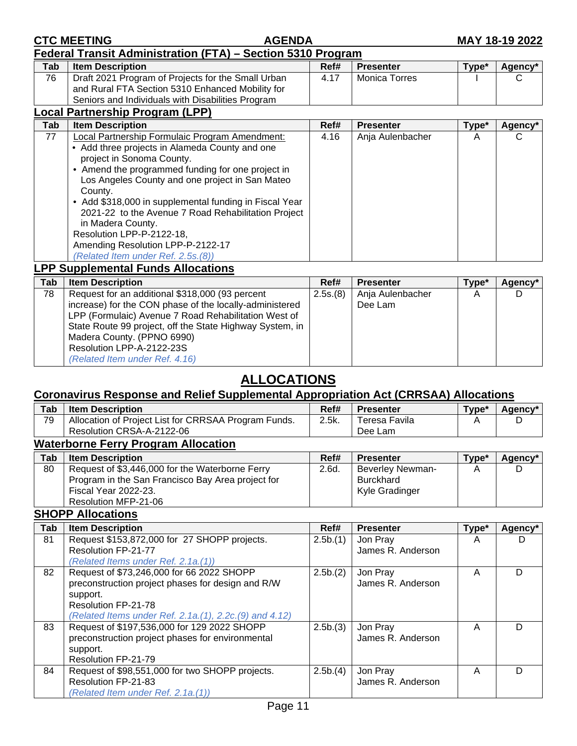|  |  |  |  | <b>CTC MEETING</b> |
|--|--|--|--|--------------------|
|  |  |  |  |                    |

| Federal Transit Administration (FTA) - Section 5310 Program |  |
|-------------------------------------------------------------|--|

| Tab | <b>Item Description</b>                                                                                                                                     | Ref# | <b>Presenter</b> | Type* | Agency* |
|-----|-------------------------------------------------------------------------------------------------------------------------------------------------------------|------|------------------|-------|---------|
| 76  | Draft 2021 Program of Projects for the Small Urban<br>and Rural FTA Section 5310 Enhanced Mobility for<br>Seniors and Individuals with Disabilities Program | 4.17 | Monica Torres    |       |         |

| Local Partnership Program (LPP) |                                                                                                                                                                                                                                                                                                                                                                                                                                                                                                |      |                  |       |         |  |  |  |
|---------------------------------|------------------------------------------------------------------------------------------------------------------------------------------------------------------------------------------------------------------------------------------------------------------------------------------------------------------------------------------------------------------------------------------------------------------------------------------------------------------------------------------------|------|------------------|-------|---------|--|--|--|
| Tab                             | <b>Item Description</b>                                                                                                                                                                                                                                                                                                                                                                                                                                                                        | Ref# | <b>Presenter</b> | Type* | Agency* |  |  |  |
| 77                              | Local Partnership Formulaic Program Amendment:<br>• Add three projects in Alameda County and one<br>project in Sonoma County.<br>• Amend the programmed funding for one project in<br>Los Angeles County and one project in San Mateo<br>County.<br>• Add \$318,000 in supplemental funding in Fiscal Year<br>2021-22 to the Avenue 7 Road Rehabilitation Project<br>in Madera County.<br>Resolution LPP-P-2122-18,<br>Amending Resolution LPP-P-2122-17<br>(Related Item under Ref. 2.5s.(8)) | 4.16 | Anja Aulenbacher | A     |         |  |  |  |
|                                 | .                                                                                                                                                                                                                                                                                                                                                                                                                                                                                              |      |                  |       |         |  |  |  |

#### **LPP Supplemental Funds Allocations**

| Tab | <b>Item Description</b>                                                                                                                                                     | Ref#     | <b>Presenter</b>            | Type* | Agency* |
|-----|-----------------------------------------------------------------------------------------------------------------------------------------------------------------------------|----------|-----------------------------|-------|---------|
| 78  | Request for an additional \$318,000 (93 percent<br>increase) for the CON phase of the locally-administered                                                                  | 2.5s.(8) | Anja Aulenbacher<br>Dee Lam | A     |         |
|     | LPP (Formulaic) Avenue 7 Road Rehabilitation West of<br>State Route 99 project, off the State Highway System, in<br>Madera County. (PPNO 6990)<br>Resolution LPP-A-2122-23S |          |                             |       |         |
|     | (Related Item under Ref. 4.16)                                                                                                                                              |          |                             |       |         |

# **ALLOCATIONS**

### **Coronavirus Response and Relief Supplemental Appropriation Act (CRRSAA) Allocations**

| Tab | <b>Item Description</b>                              | Ref#  | <b>Presenter</b> | Type* | Agency* |
|-----|------------------------------------------------------|-------|------------------|-------|---------|
| 79  | Allocation of Project List for CRRSAA Program Funds. | 2.5k. | Teresa Favila    |       |         |
|     | Resolution CRSA-A-2122-06                            |       | Dee Lam          |       |         |
|     | Metarkanaa Farm: Draamana Allaaatian                 |       |                  |       |         |

#### **Waterborne Ferry Program Allocation**

| Tab | <b>Item Description</b>                           | Ref#  | <b>Presenter</b>        | Type <sup>*</sup> | Agency* |
|-----|---------------------------------------------------|-------|-------------------------|-------------------|---------|
| 80  | Request of \$3,446,000 for the Waterborne Ferry   | 2.6d. | <b>Beverley Newman-</b> |                   |         |
|     | Program in the San Francisco Bay Area project for |       | <b>Burckhard</b>        |                   |         |
|     | Fiscal Year 2022-23.                              |       | Kyle Gradinger          |                   |         |
|     | Resolution MFP-21-06                              |       |                         |                   |         |

#### **SHOPP Allocations**

| Tab | <b>Item Description</b>                                | Ref#    | <b>Presenter</b>  | Type*          | Agency* |
|-----|--------------------------------------------------------|---------|-------------------|----------------|---------|
| 81  | Request \$153,872,000 for 27 SHOPP projects.           | 2.5b(1) | Jon Pray          | $\overline{A}$ |         |
|     | Resolution FP-21-77                                    |         | James R. Anderson |                |         |
|     | (Related Items under Ref. 2.1a.(1))                    |         |                   |                |         |
| 82  | Request of \$73,246,000 for 66 2022 SHOPP              | 2.5b(2) | Jon Pray          | A              | D       |
|     | preconstruction project phases for design and R/W      |         | James R. Anderson |                |         |
|     | support.                                               |         |                   |                |         |
|     | Resolution FP-21-78                                    |         |                   |                |         |
|     | (Related Items under Ref. 2.1a.(1), 2.2c.(9) and 4.12) |         |                   |                |         |
| 83  | Request of \$197,536,000 for 129 2022 SHOPP            | 2.5b(3) | Jon Pray          | А              | D       |
|     | preconstruction project phases for environmental       |         | James R. Anderson |                |         |
|     | support.                                               |         |                   |                |         |
|     | Resolution FP-21-79                                    |         |                   |                |         |
| 84  | Request of \$98,551,000 for two SHOPP projects.        | 2.5b(4) | Jon Pray          | A              | D       |
|     | Resolution FP-21-83                                    |         | James R. Anderson |                |         |
|     | (Related Item under Ref. 2.1a.(1))                     |         |                   |                |         |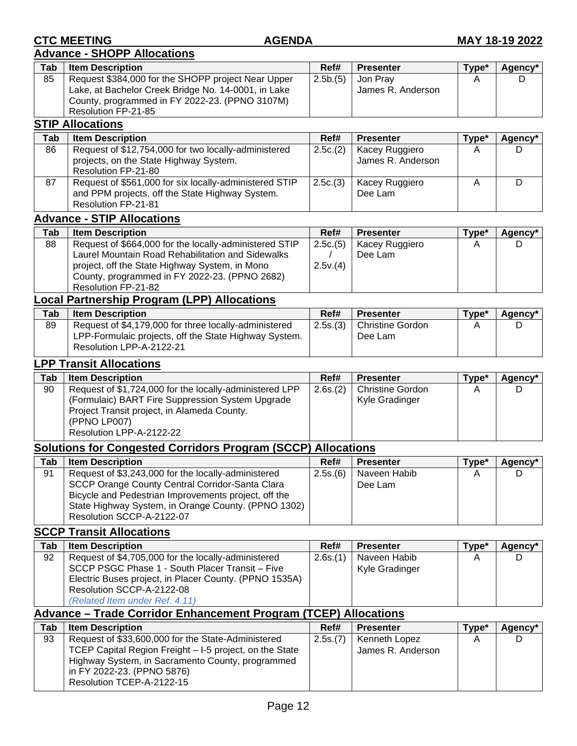#### **Advance - SHOPP Allocations**

| Tab                   | <b>Item Description</b>                             | Ref#    | <b>Presenter</b>  | Tvpe*           | Agency*    |  |  |  |  |  |
|-----------------------|-----------------------------------------------------|---------|-------------------|-----------------|------------|--|--|--|--|--|
| 85                    | Request \$384,000 for the SHOPP project Near Upper  | 2.5b(5) | Jon Pray          | A               |            |  |  |  |  |  |
|                       | Lake, at Bachelor Creek Bridge No. 14-0001, in Lake |         | James R. Anderson |                 |            |  |  |  |  |  |
|                       | County, programmed in FY 2022-23. (PPNO 3107M)      |         |                   |                 |            |  |  |  |  |  |
|                       | Resolution FP-21-85                                 |         |                   |                 |            |  |  |  |  |  |
|                       | <b>STIP Allocations</b>                             |         |                   |                 |            |  |  |  |  |  |
| <b>T</b> <sub>n</sub> | <b>Itam Docarintian</b>                             | DAH     | <b>Drocontor</b>  | $T_{1,1}$ n $*$ | $A$ acnout |  |  |  |  |  |

| Tab | <b>Item Description</b>                                                                                                          | Ref#    | <b>Presenter</b>                    | Type <sup>*</sup> | Agency* |
|-----|----------------------------------------------------------------------------------------------------------------------------------|---------|-------------------------------------|-------------------|---------|
| 86  | Request of \$12,754,000 for two locally-administered<br>projects, on the State Highway System.<br>Resolution FP-21-80            | 2.5c(2) | Kacey Ruggiero<br>James R. Anderson |                   |         |
| 87  | Request of \$561,000 for six locally-administered STIP<br>and PPM projects, off the State Highway System.<br>Resolution FP-21-81 | 2.5c(3) | Kacey Ruggiero<br>Dee Lam           |                   |         |

#### **Advance - STIP Allocations**

| Tab | <b>Item Description</b>                                                                             | Ref#    | <b>Presenter</b> | Type* | Agency* |
|-----|-----------------------------------------------------------------------------------------------------|---------|------------------|-------|---------|
| 88  | Request of \$664,000 for the locally-administered STIP                                              | 2.5c(5) | Kacey Ruggiero   |       |         |
|     | Laurel Mountain Road Rehabilitation and Sidewalks<br>project, off the State Highway System, in Mono | 2.5v(4) | Dee Lam          |       |         |
|     | County, programmed in FY 2022-23. (PPNO 2682)<br>Resolution FP-21-82                                |         |                  |       |         |

#### **Local Partnership Program (LPP) Allocations**

| Tab | <b>Item Description</b>                                                                                                                    | Ref#    | <b>Presenter</b>                   | Type* | Agency* |
|-----|--------------------------------------------------------------------------------------------------------------------------------------------|---------|------------------------------------|-------|---------|
| 89  | Request of \$4,179,000 for three locally-administered<br>LPP-Formulaic projects, off the State Highway System.<br>Resolution LPP-A-2122-21 | 2.5s(3) | <b>Christine Gordon</b><br>Dee Lam |       |         |

#### **LPP Transit Allocations**

| Tab | <b>Item Description</b>                                 | Ref#    | <b>Presenter</b>        | Type* | Agency* |
|-----|---------------------------------------------------------|---------|-------------------------|-------|---------|
| 90  | Request of \$1,724,000 for the locally-administered LPP | 2.6s(2) | <b>Christine Gordon</b> |       |         |
|     | (Formulaic) BART Fire Suppression System Upgrade        |         | Kyle Gradinger          |       |         |
|     | Project Transit project, in Alameda County.             |         |                         |       |         |
|     | (PPNO LP007)                                            |         |                         |       |         |
|     | Resolution LPP-A-2122-22                                |         |                         |       |         |

## **Solutions for Congested Corridors Program (SCCP) Allocations**

| Tab | <b>Item Description</b>                              | Ref#    | <b>Presenter</b> | Type* | Agency* |
|-----|------------------------------------------------------|---------|------------------|-------|---------|
| 91  | Request of \$3,243,000 for the locally-administered  | 2.5s(6) | Naveen Habib     |       |         |
|     | SCCP Orange County Central Corridor-Santa Clara      |         | Dee Lam          |       |         |
|     | Bicycle and Pedestrian Improvements project, off the |         |                  |       |         |
|     | State Highway System, in Orange County. (PPNO 1302)  |         |                  |       |         |
|     | Resolution SCCP-A-2122-07                            |         |                  |       |         |

## **SCCP Transit Allocations**

| Tab | <b>Item Description</b>                                                                                                                                          | Ref#    | <b>Presenter</b>               | Type* | Agency* |
|-----|------------------------------------------------------------------------------------------------------------------------------------------------------------------|---------|--------------------------------|-------|---------|
| 92  | Request of \$4,705,000 for the locally-administered<br>SCCP PSGC Phase 1 - South Placer Transit - Five<br>Electric Buses project, in Placer County. (PPNO 1535A) | 2.6s(1) | Naveen Habib<br>Kyle Gradinger |       |         |
|     | Resolution SCCP-A-2122-08<br>(Related Item under Ref. 4.11)                                                                                                      |         |                                |       |         |

# **Advance – Trade Corridor Enhancement Program (TCEP) Allocations**

| Tab | <b>Item Description</b>                                 | Ref#    | <b>Presenter</b>  | Type* | Agency* |
|-----|---------------------------------------------------------|---------|-------------------|-------|---------|
| 93  | Request of \$33,600,000 for the State-Administered      | 2.5s(7) | Kenneth Lopez     |       |         |
|     | TCEP Capital Region Freight - I-5 project, on the State |         | James R. Anderson |       |         |
|     | Highway System, in Sacramento County, programmed        |         |                   |       |         |
|     | in FY 2022-23. (PPNO 5876)                              |         |                   |       |         |
|     | Resolution TCEP-A-2122-15                               |         |                   |       |         |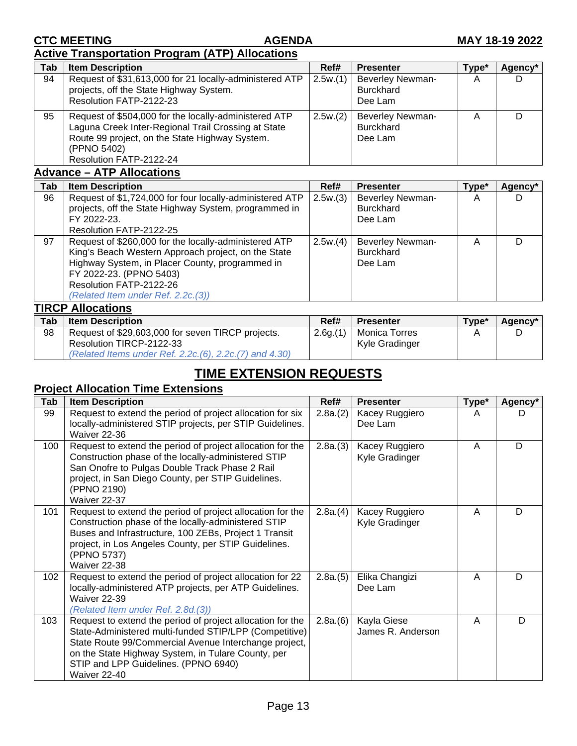## **Active Transportation Program (ATP) Allocations**

| Tab | <b>Item Description</b>                                                                                                                                                                                  | Ref#    | <b>Presenter</b>                                       | Type* | Agency* |
|-----|----------------------------------------------------------------------------------------------------------------------------------------------------------------------------------------------------------|---------|--------------------------------------------------------|-------|---------|
| 94  | Request of \$31,613,000 for 21 locally-administered ATP<br>projects, off the State Highway System.<br>Resolution FATP-2122-23                                                                            | 2.5w(1) | <b>Beverley Newman-</b><br><b>Burckhard</b><br>Dee Lam | Α     |         |
| 95  | Request of \$504,000 for the locally-administered ATP<br>Laguna Creek Inter-Regional Trail Crossing at State<br>Route 99 project, on the State Highway System.<br>(PPNO 5402)<br>Resolution FATP-2122-24 | 2.5w(2) | <b>Beverley Newman-</b><br><b>Burckhard</b><br>Dee Lam |       |         |

## **Advance – ATP Allocations**

| Tab | <b>Item Description</b>                                  | Ref#    | <b>Presenter</b>        | Type* | Agency* |
|-----|----------------------------------------------------------|---------|-------------------------|-------|---------|
| 96  | Request of \$1,724,000 for four locally-administered ATP | 2.5w(3) | <b>Beverley Newman-</b> | А     |         |
|     | projects, off the State Highway System, programmed in    |         | <b>Burckhard</b>        |       |         |
|     | FY 2022-23.                                              |         | Dee Lam                 |       |         |
|     | Resolution FATP-2122-25                                  |         |                         |       |         |
| 97  | Request of \$260,000 for the locally-administered ATP    | 2.5w(4) | <b>Beverley Newman-</b> | A     |         |
|     | King's Beach Western Approach project, on the State      |         | <b>Burckhard</b>        |       |         |
|     | Highway System, in Placer County, programmed in          |         | Dee Lam                 |       |         |
|     | FY 2022-23. (PPNO 5403)                                  |         |                         |       |         |
|     | Resolution FATP-2122-26                                  |         |                         |       |         |
|     | (Related Item under Ref. 2.2c. (3))                      |         |                         |       |         |
|     | <b>TIRCP Allocations</b>                                 |         |                         |       |         |

| Tab | <b>Item Description</b>                                  | Ref#    | <b>Presenter</b>     | Type* | Agency* |
|-----|----------------------------------------------------------|---------|----------------------|-------|---------|
| 98  | Request of \$29,603,000 for seven TIRCP projects.        | 2.6g(1) | <b>Monica Torres</b> |       |         |
|     | Resolution TIRCP-2122-33                                 |         | Kyle Gradinger       |       |         |
|     | (Related Items under Ref. 2.2c. (6), 2.2c. (7) and 4.30) |         |                      |       |         |

# **TIME EXTENSION REQUESTS**

# **Project Allocation Time Extensions**

| Tab | <b>Item Description</b>                                                                                                                                                                                                                                                                            | Ref#    | <b>Presenter</b>                 | Type* | Agency* |
|-----|----------------------------------------------------------------------------------------------------------------------------------------------------------------------------------------------------------------------------------------------------------------------------------------------------|---------|----------------------------------|-------|---------|
| 99  | Request to extend the period of project allocation for six<br>locally-administered STIP projects, per STIP Guidelines.<br><b>Waiver 22-36</b>                                                                                                                                                      | 2.8a(2) | Kacey Ruggiero<br>Dee Lam        | A     |         |
| 100 | Request to extend the period of project allocation for the<br>Construction phase of the locally-administered STIP<br>San Onofre to Pulgas Double Track Phase 2 Rail<br>project, in San Diego County, per STIP Guidelines.<br>(PPNO 2190)<br>Waiver 22-37                                           | 2.8a(3) | Kacey Ruggiero<br>Kyle Gradinger | A     | D       |
| 101 | Request to extend the period of project allocation for the<br>Construction phase of the locally-administered STIP<br>Buses and Infrastructure, 100 ZEBs, Project 1 Transit<br>project, in Los Angeles County, per STIP Guidelines.<br>(PPNO 5737)<br>Waiver 22-38                                  | 2.8a(4) | Kacey Ruggiero<br>Kyle Gradinger | A     | D       |
| 102 | Request to extend the period of project allocation for 22<br>locally-administered ATP projects, per ATP Guidelines.<br><b>Waiver 22-39</b><br>(Related Item under Ref. 2.8d.(3))                                                                                                                   | 2.8a(5) | Elika Changizi<br>Dee Lam        | A     | D       |
| 103 | Request to extend the period of project allocation for the<br>State-Administered multi-funded STIP/LPP (Competitive)<br>State Route 99/Commercial Avenue Interchange project,<br>on the State Highway System, in Tulare County, per<br>STIP and LPP Guidelines. (PPNO 6940)<br><b>Waiver 22-40</b> | 2.8a(6) | Kayla Giese<br>James R. Anderson | A     | D       |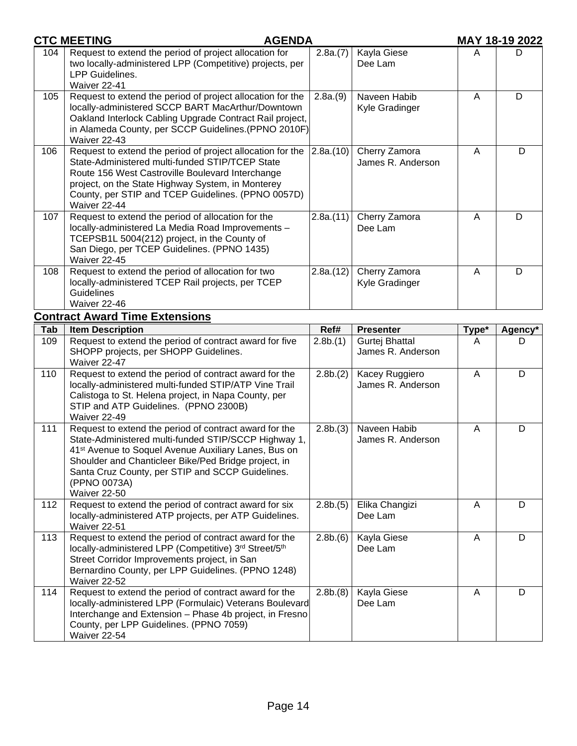|     | <b>CTC MEETING</b><br><b>AGENDA</b>                                                                                                                                                                                                                                                                                            |          |                                     |                | <b>MAY 18-19 2022</b> |
|-----|--------------------------------------------------------------------------------------------------------------------------------------------------------------------------------------------------------------------------------------------------------------------------------------------------------------------------------|----------|-------------------------------------|----------------|-----------------------|
| 104 | Request to extend the period of project allocation for<br>two locally-administered LPP (Competitive) projects, per<br>LPP Guidelines.<br>Waiver 22-41                                                                                                                                                                          | 2.8a(7)  | Kayla Giese<br>Dee Lam              | A              | D                     |
| 105 | Request to extend the period of project allocation for the<br>locally-administered SCCP BART MacArthur/Downtown<br>Oakland Interlock Cabling Upgrade Contract Rail project,<br>in Alameda County, per SCCP Guidelines.(PPNO 2010F)<br>Waiver 22-43                                                                             | 2.8a(9)  | Naveen Habib<br>Kyle Gradinger      | A              | D                     |
| 106 | Request to extend the period of project allocation for the<br>State-Administered multi-funded STIP/TCEP State<br>Route 156 West Castroville Boulevard Interchange<br>project, on the State Highway System, in Monterey<br>County, per STIP and TCEP Guidelines. (PPNO 0057D)<br>Waiver 22-44                                   | 2.8a(10) | Cherry Zamora<br>James R. Anderson  | A              | D                     |
| 107 | Request to extend the period of allocation for the<br>locally-administered La Media Road Improvements -<br>TCEPSB1L 5004(212) project, in the County of<br>San Diego, per TCEP Guidelines. (PPNO 1435)<br>Waiver 22-45                                                                                                         | 2.8a(11) | Cherry Zamora<br>Dee Lam            | $\overline{A}$ | D                     |
| 108 | Request to extend the period of allocation for two<br>locally-administered TCEP Rail projects, per TCEP<br>Guidelines<br>Waiver 22-46                                                                                                                                                                                          | 2.8a(12) | Cherry Zamora<br>Kyle Gradinger     | A              | D                     |
|     | <b>Contract Award Time Extensions</b>                                                                                                                                                                                                                                                                                          |          |                                     |                |                       |
| Tab | <b>Item Description</b>                                                                                                                                                                                                                                                                                                        | Ref#     | <b>Presenter</b>                    | Type*          | Agency*               |
| 109 | Request to extend the period of contract award for five<br>SHOPP projects, per SHOPP Guidelines.<br>Waiver 22-47                                                                                                                                                                                                               | 2.8b(1)  | Gurtej Bhattal<br>James R. Anderson | A              | D.                    |
| 110 | Request to extend the period of contract award for the<br>locally-administered multi-funded STIP/ATP Vine Trail<br>Calistoga to St. Helena project, in Napa County, per<br>STIP and ATP Guidelines. (PPNO 2300B)<br>Waiver 22-49                                                                                               | 2.8b(2)  | Kacey Ruggiero<br>James R. Anderson | A              | D                     |
| 111 | Request to extend the period of contract award for the<br>State-Administered multi-funded STIP/SCCP Highway 1,<br>41 <sup>st</sup> Avenue to Soquel Avenue Auxiliary Lanes, Bus on<br>Shoulder and Chanticleer Bike/Ped Bridge project, in<br>Santa Cruz County, per STIP and SCCP Guidelines.<br>(PPNO 0073A)<br>Waiver 22-50 | 2.8b(3)  | Naveen Habib<br>James R. Anderson   | A              | D                     |
| 112 | Request to extend the period of contract award for six<br>locally-administered ATP projects, per ATP Guidelines.<br>Waiver 22-51                                                                                                                                                                                               | 2.8b(5)  | Elika Changizi<br>Dee Lam           | A              | D                     |
| 113 | Request to extend the period of contract award for the<br>locally-administered LPP (Competitive) 3rd Street/5th<br>Street Corridor Improvements project, in San<br>Bernardino County, per LPP Guidelines. (PPNO 1248)<br>Waiver 22-52                                                                                          | 2.8b(6)  | Kayla Giese<br>Dee Lam              | $\mathsf{A}$   | D                     |
| 114 | Request to extend the period of contract award for the<br>locally-administered LPP (Formulaic) Veterans Boulevard<br>Interchange and Extension - Phase 4b project, in Fresno<br>County, per LPP Guidelines. (PPNO 7059)<br>Waiver 22-54                                                                                        | 2.8b(8)  | Kayla Giese<br>Dee Lam              | A              | D                     |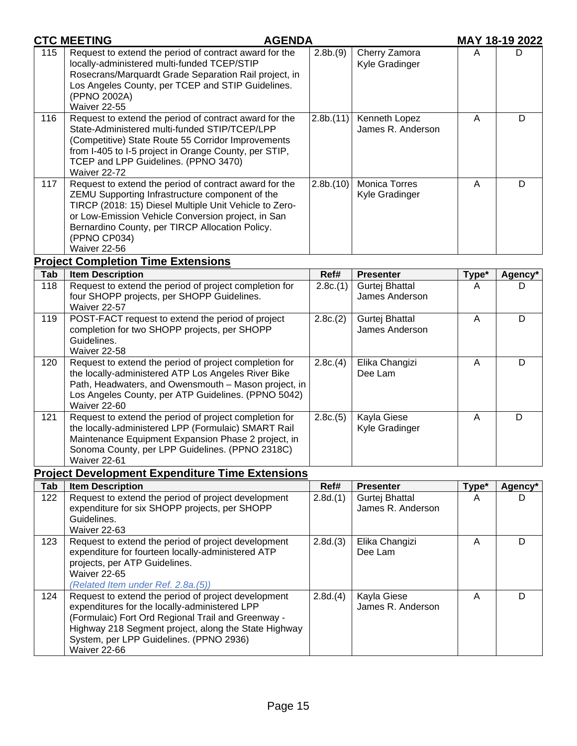|     | <b>CTC MEETING</b><br><b>AGENDA</b>                                                                                                                                                                                                                                                                          |          |                                     |       | <b>MAY 18-19 2022</b> |
|-----|--------------------------------------------------------------------------------------------------------------------------------------------------------------------------------------------------------------------------------------------------------------------------------------------------------------|----------|-------------------------------------|-------|-----------------------|
| 115 | Request to extend the period of contract award for the<br>locally-administered multi-funded TCEP/STIP<br>Rosecrans/Marquardt Grade Separation Rail project, in<br>Los Angeles County, per TCEP and STIP Guidelines.<br>(PPNO 2002A)<br>Waiver 22-55                                                          | 2.8b.(9) | Cherry Zamora<br>Kyle Gradinger     | A     | D                     |
| 116 | Request to extend the period of contract award for the<br>State-Administered multi-funded STIP/TCEP/LPP<br>(Competitive) State Route 55 Corridor Improvements<br>from I-405 to I-5 project in Orange County, per STIP,<br>TCEP and LPP Guidelines. (PPNO 3470)<br>Waiver 22-72                               | 2.8b(11) | Kenneth Lopez<br>James R. Anderson  | A     | D                     |
| 117 | Request to extend the period of contract award for the<br>ZEMU Supporting Infrastructure component of the<br>TIRCP (2018: 15) Diesel Multiple Unit Vehicle to Zero-<br>or Low-Emission Vehicle Conversion project, in San<br>Bernardino County, per TIRCP Allocation Policy.<br>(PPNO CP034)<br>Waiver 22-56 | 2.8b(10) | Monica Torres<br>Kyle Gradinger     | A     | D                     |
|     | <b>Project Completion Time Extensions</b>                                                                                                                                                                                                                                                                    |          |                                     |       |                       |
| Tab | <b>Item Description</b>                                                                                                                                                                                                                                                                                      | Ref#     | <b>Presenter</b>                    | Type* | Agency*               |
| 118 | Request to extend the period of project completion for<br>four SHOPP projects, per SHOPP Guidelines.<br>Waiver 22-57                                                                                                                                                                                         | 2.8c(1)  | Gurtej Bhattal<br>James Anderson    | A     | D                     |
| 119 | POST-FACT request to extend the period of project<br>completion for two SHOPP projects, per SHOPP<br>Guidelines.<br>Waiver 22-58                                                                                                                                                                             | 2.8c(2)  | Gurtej Bhattal<br>James Anderson    | A     | D                     |
| 120 | Request to extend the period of project completion for<br>the locally-administered ATP Los Angeles River Bike<br>Path, Headwaters, and Owensmouth - Mason project, in<br>Los Angeles County, per ATP Guidelines. (PPNO 5042)<br>Waiver 22-60                                                                 | 2.8c(4)  | Elika Changizi<br>Dee Lam           | A     | D                     |
| 121 | Request to extend the period of project completion for<br>the locally-administered LPP (Formulaic) SMART Rail<br>Maintenance Equipment Expansion Phase 2 project, in<br>Sonoma County, per LPP Guidelines. (PPNO 2318C)<br><b>Waiver 22-61</b>                                                               | 2.8c(5)  | Kayla Giese<br>Kyle Gradinger       | A     | D                     |
|     | <b>Project Development Expenditure Time Extensions</b>                                                                                                                                                                                                                                                       |          |                                     |       |                       |
| Tab | <b>Item Description</b>                                                                                                                                                                                                                                                                                      | Ref#     | <b>Presenter</b>                    | Type* | Agency*               |
| 122 | Request to extend the period of project development<br>expenditure for six SHOPP projects, per SHOPP<br>Guidelines.<br>Waiver 22-63                                                                                                                                                                          | 2.8d.(1) | Gurtej Bhattal<br>James R. Anderson | A     | D                     |
| 123 | Request to extend the period of project development<br>expenditure for fourteen locally-administered ATP<br>projects, per ATP Guidelines.<br>Waiver 22-65<br>(Related Item under Ref. 2.8a.(5))                                                                                                              | 2.8d(3)  | Elika Changizi<br>Dee Lam           | A     | D                     |
| 124 | Request to extend the period of project development<br>expenditures for the locally-administered LPP<br>(Formulaic) Fort Ord Regional Trail and Greenway -<br>Highway 218 Segment project, along the State Highway<br>System, per LPP Guidelines. (PPNO 2936)<br>Waiver 22-66                                | 2.8d.(4) | Kayla Giese<br>James R. Anderson    | A     | D                     |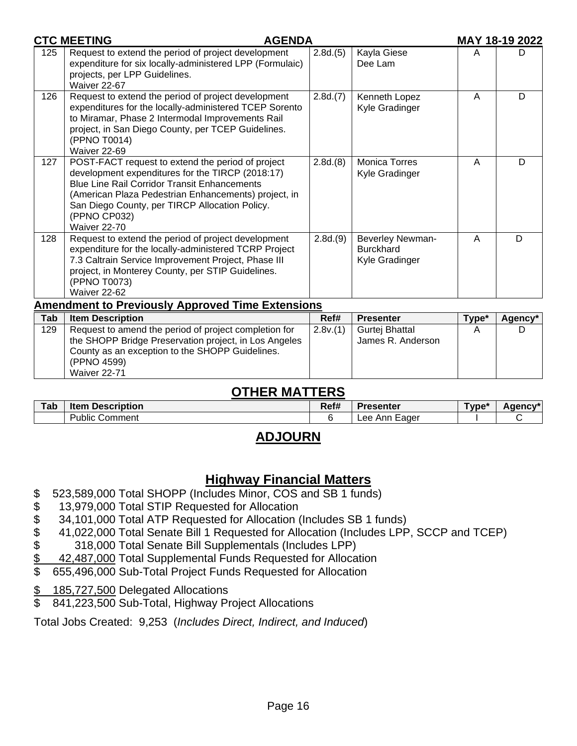|            | <b>CTC MEETING</b><br><b>AGENDA</b>                                                                                                                                                                                                                                                                    |          |                                                        |       | MAY 18-19 2022 |
|------------|--------------------------------------------------------------------------------------------------------------------------------------------------------------------------------------------------------------------------------------------------------------------------------------------------------|----------|--------------------------------------------------------|-------|----------------|
| 125        | Request to extend the period of project development<br>expenditure for six locally-administered LPP (Formulaic)<br>projects, per LPP Guidelines.<br>Waiver 22-67                                                                                                                                       | 2.8d.(5) | Kayla Giese<br>Dee Lam                                 | A     | D              |
| 126        | Request to extend the period of project development<br>expenditures for the locally-administered TCEP Sorento<br>to Miramar, Phase 2 Intermodal Improvements Rail<br>project, in San Diego County, per TCEP Guidelines.<br>(PPNO T0014)<br>Waiver 22-69                                                | 2.8d(7)  | Kenneth Lopez<br>Kyle Gradinger                        | A     | D              |
| 127        | POST-FACT request to extend the period of project<br>development expenditures for the TIRCP (2018:17)<br><b>Blue Line Rail Corridor Transit Enhancements</b><br>(American Plaza Pedestrian Enhancements) project, in<br>San Diego County, per TIRCP Allocation Policy.<br>(PPNO CP032)<br>Waiver 22-70 | 2.8d(8)  | <b>Monica Torres</b><br>Kyle Gradinger                 | A     | D              |
| 128        | Request to extend the period of project development<br>expenditure for the locally-administered TCRP Project<br>7.3 Caltrain Service Improvement Project, Phase III<br>project, in Monterey County, per STIP Guidelines.<br>(PPNO T0073)<br>Waiver 22-62                                               | 2.8d.(9) | Beverley Newman-<br><b>Burckhard</b><br>Kyle Gradinger | A     | D              |
|            | <b>Amendment to Previously Approved Time Extensions</b>                                                                                                                                                                                                                                                |          |                                                        |       |                |
| <b>Tab</b> | <b>Item Description</b>                                                                                                                                                                                                                                                                                | Ref#     | <b>Presenter</b>                                       | Type* | Agency*        |
| 129        | Request to amend the period of project completion for<br>the SHOPP Bridge Preservation project, in Los Angeles<br>County as an exception to the SHOPP Guidelines.                                                                                                                                      | 2.8v(1)  | Gurtej Bhattal<br>James R. Anderson                    | A     | D              |

# **OTHER MATTERS**

| Tab | <b>Description</b><br>Item | DA <sub>eff</sub><br>Rei# | <b>Presenter</b>      | "vpe | Adency <sup>*</sup> |
|-----|----------------------------|---------------------------|-----------------------|------|---------------------|
|     | - -<br>Public<br>Comment   |                           | ∟ee<br>Lader<br>– Anr |      |                     |

# **ADJOURN**

# **Highway Financial Matters**

- \$ 523,589,000 Total SHOPP (Includes Minor, COS and SB 1 funds)
- 
- \$ 34,101,000 Total ATP Requested for Allocation (Includes SB 1 funds)
- \$ 13,979,000 Total STIP Requested for Allocation<br>\$ 34,101,000 Total ATP Requested for Allocation (<br>\$ 41,022,000 Total Senate Bill 1 Requested for Allo<br>\$ 318,000 Total Senate Bill Supplementals (Inc<br>\$ 42,487,000 Total Suppl \$ 41,022,000 Total Senate Bill 1 Requested for Allocation (Includes LPP, SCCP and TCEP)
- \$ 318,000 Total Senate Bill Supplementals (Includes LPP)
- \$ 42,487,000 Total Supplemental Funds Requested for Allocation<br>\$ 655,496,000 Sub-Total Project Funds Requested for Allocation
- \$ 655,496,000 Sub-Total Project Funds Requested for Allocation
- \$ 185,727,500 Delegated Allocations

(PPNO 4599) Waiver 22-71

\$ 841,223,500 Sub-Total, Highway Project Allocations

Total Jobs Created: 9,253 (*Includes Direct, Indirect, and Induced*)